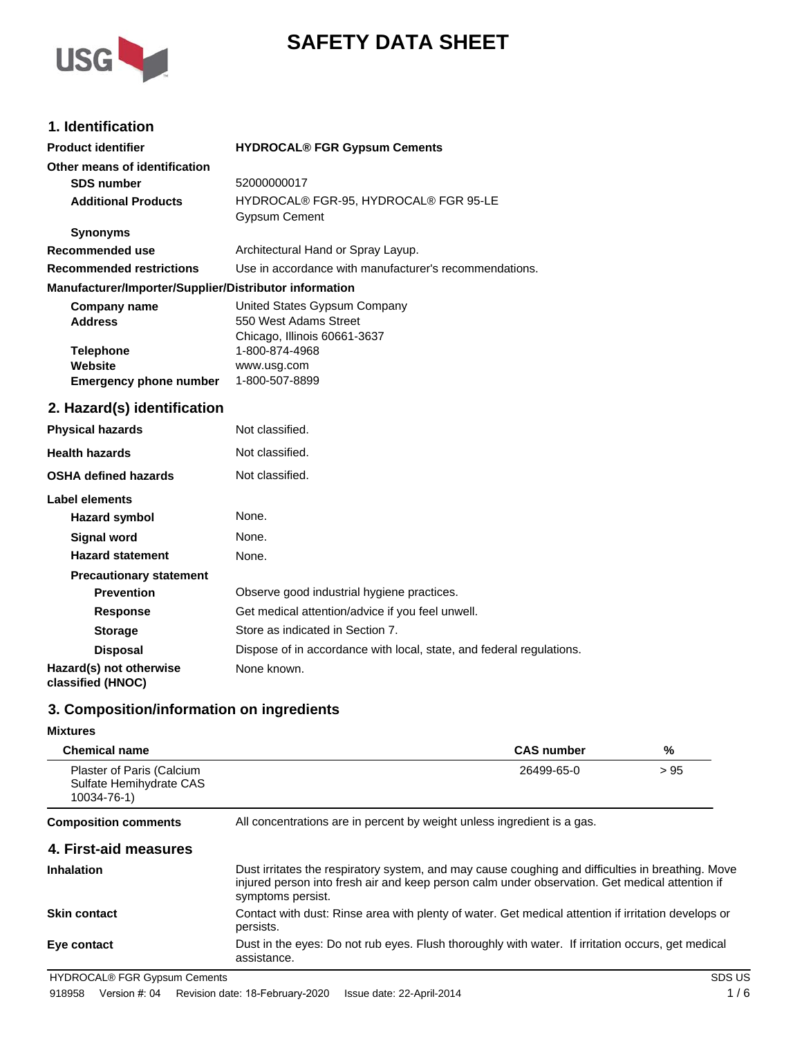

# **SAFETY DATA SHEET**

## **1. Identification**

| <b>Product identifier</b>                              | <b>HYDROCAL® FGR Gypsum Cements</b>                                  |
|--------------------------------------------------------|----------------------------------------------------------------------|
| Other means of identification                          |                                                                      |
| <b>SDS number</b>                                      | 52000000017                                                          |
| <b>Additional Products</b>                             | HYDROCAL® FGR-95, HYDROCAL® FGR 95-LE<br><b>Gypsum Cement</b>        |
| <b>Synonyms</b>                                        |                                                                      |
| <b>Recommended use</b>                                 | Architectural Hand or Spray Layup.                                   |
| <b>Recommended restrictions</b>                        | Use in accordance with manufacturer's recommendations.               |
| Manufacturer/Importer/Supplier/Distributor information |                                                                      |
| <b>Company name</b>                                    | United States Gypsum Company                                         |
| <b>Address</b>                                         | 550 West Adams Street                                                |
|                                                        | Chicago, Illinois 60661-3637                                         |
| <b>Telephone</b><br>Website                            | 1-800-874-4968<br>www.usg.com                                        |
| <b>Emergency phone number</b>                          | 1-800-507-8899                                                       |
|                                                        |                                                                      |
| 2. Hazard(s) identification                            |                                                                      |
| <b>Physical hazards</b>                                | Not classified.                                                      |
| <b>Health hazards</b>                                  | Not classified.                                                      |
| <b>OSHA defined hazards</b>                            | Not classified.                                                      |
| <b>Label elements</b>                                  |                                                                      |
| <b>Hazard symbol</b>                                   | None.                                                                |
| <b>Signal word</b>                                     | None.                                                                |
| <b>Hazard statement</b>                                | None.                                                                |
| <b>Precautionary statement</b>                         |                                                                      |
| <b>Prevention</b>                                      | Observe good industrial hygiene practices.                           |
| <b>Response</b>                                        | Get medical attention/advice if you feel unwell.                     |
| <b>Storage</b>                                         | Store as indicated in Section 7.                                     |
| <b>Disposal</b>                                        | Dispose of in accordance with local, state, and federal regulations. |
| Hazard(s) not otherwise<br>classified (HNOC)           | None known.                                                          |

## **3. Composition/information on ingredients**

### **Mixtures**

| <b>Chemical name</b>                                                |                                                                                                                                                                                                                          | <b>CAS number</b> | %    |
|---------------------------------------------------------------------|--------------------------------------------------------------------------------------------------------------------------------------------------------------------------------------------------------------------------|-------------------|------|
| Plaster of Paris (Calcium<br>Sulfate Hemihydrate CAS<br>10034-76-1) |                                                                                                                                                                                                                          | 26499-65-0        | > 95 |
| <b>Composition comments</b>                                         | All concentrations are in percent by weight unless ingredient is a gas.                                                                                                                                                  |                   |      |
| 4. First-aid measures                                               |                                                                                                                                                                                                                          |                   |      |
| <b>Inhalation</b>                                                   | Dust irritates the respiratory system, and may cause coughing and difficulties in breathing. Move<br>injured person into fresh air and keep person calm under observation. Get medical attention if<br>symptoms persist. |                   |      |
| <b>Skin contact</b>                                                 | Contact with dust: Rinse area with plenty of water. Get medical attention if irritation develops or<br>persists.                                                                                                         |                   |      |
| Eye contact                                                         | Dust in the eyes: Do not rub eyes. Flush thoroughly with water. If irritation occurs, get medical<br>assistance.                                                                                                         |                   |      |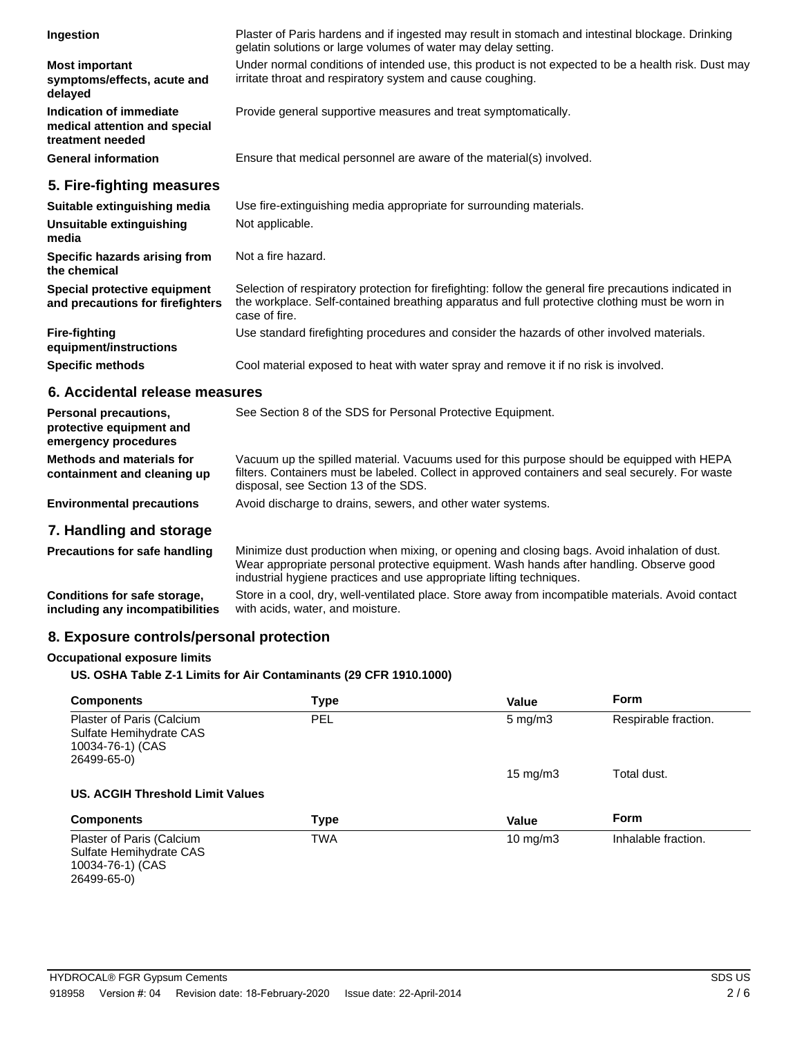| Ingestion                                                                    | Plaster of Paris hardens and if ingested may result in stomach and intestinal blockage. Drinking<br>gelatin solutions or large volumes of water may delay setting.                                                        |
|------------------------------------------------------------------------------|---------------------------------------------------------------------------------------------------------------------------------------------------------------------------------------------------------------------------|
| <b>Most important</b><br>symptoms/effects, acute and<br>delayed              | Under normal conditions of intended use, this product is not expected to be a health risk. Dust may<br>irritate throat and respiratory system and cause coughing.                                                         |
| Indication of immediate<br>medical attention and special<br>treatment needed | Provide general supportive measures and treat symptomatically.                                                                                                                                                            |
| <b>General information</b>                                                   | Ensure that medical personnel are aware of the material(s) involved.                                                                                                                                                      |
| 5. Fire-fighting measures                                                    |                                                                                                                                                                                                                           |
| Suitable extinguishing media                                                 | Use fire-extinguishing media appropriate for surrounding materials.                                                                                                                                                       |
| Unsuitable extinguishing<br>media                                            | Not applicable.                                                                                                                                                                                                           |
| Specific hazards arising from<br>the chemical                                | Not a fire hazard.                                                                                                                                                                                                        |
| Special protective equipment<br>and precautions for firefighters             | Selection of respiratory protection for firefighting: follow the general fire precautions indicated in<br>the workplace. Self-contained breathing apparatus and full protective clothing must be worn in<br>case of fire. |
| <b>Fire-fighting</b><br>equipment/instructions                               | Use standard firefighting procedures and consider the hazards of other involved materials.                                                                                                                                |
| <b>Specific methods</b>                                                      | Cool material exposed to heat with water spray and remove it if no risk is involved.                                                                                                                                      |
|                                                                              |                                                                                                                                                                                                                           |

## **6. Accidental release measures**

| <b>Personal precautions,</b><br>protective equipment and<br>emergency procedures | See Section 8 of the SDS for Personal Protective Equipment.                                                                                                                                                                            |
|----------------------------------------------------------------------------------|----------------------------------------------------------------------------------------------------------------------------------------------------------------------------------------------------------------------------------------|
| Methods and materials for<br>containment and cleaning up                         | Vacuum up the spilled material. Vacuums used for this purpose should be equipped with HEPA<br>filters. Containers must be labeled. Collect in approved containers and seal securely. For waste<br>disposal, see Section 13 of the SDS. |
| <b>Environmental precautions</b>                                                 | Avoid discharge to drains, sewers, and other water systems.                                                                                                                                                                            |
| 7. Handling and storage                                                          |                                                                                                                                                                                                                                        |
| <b>Precautions for safe handling</b>                                             | Minimize dust production when mixing, or opening and closing bags. Avoid inhalation of dust.                                                                                                                                           |

|                                 | Wear appropriate personal protective equipment. Wash hands after handling. Observe good<br>industrial hygiene practices and use appropriate lifting techniques. |
|---------------------------------|-----------------------------------------------------------------------------------------------------------------------------------------------------------------|
| Conditions for safe storage.    | Store in a cool, dry, well-ventilated place. Store away from incompatible materials. Avoid contact                                                              |
| including any incompatibilities | with acids, water, and moisture.                                                                                                                                |

## **8. Exposure controls/personal protection**

## **Occupational exposure limits**

### **US. OSHA Table Z-1 Limits for Air Contaminants (29 CFR 1910.1000)**

| <b>Components</b>                                                                       | <b>Type</b> | <b>Value</b>     | Form                 |
|-----------------------------------------------------------------------------------------|-------------|------------------|----------------------|
| Plaster of Paris (Calcium<br>Sulfate Hemihydrate CAS<br>10034-76-1) (CAS<br>26499-65-0) | <b>PEL</b>  | $5 \text{ mg/m}$ | Respirable fraction. |
|                                                                                         |             | 15 mg/m $3$      | Total dust.          |
| US. ACGIH Threshold Limit Values                                                        |             |                  |                      |
| <b>Components</b>                                                                       | <b>Type</b> | Value            | Form                 |
| Plaster of Paris (Calcium<br>Sulfate Hemihydrate CAS<br>$10034 - 76 - 1$ (CAS           | <b>TWA</b>  | 10 mg/m $3$      | Inhalable fraction.  |

10034-76-1) (CAS 26499-65-0)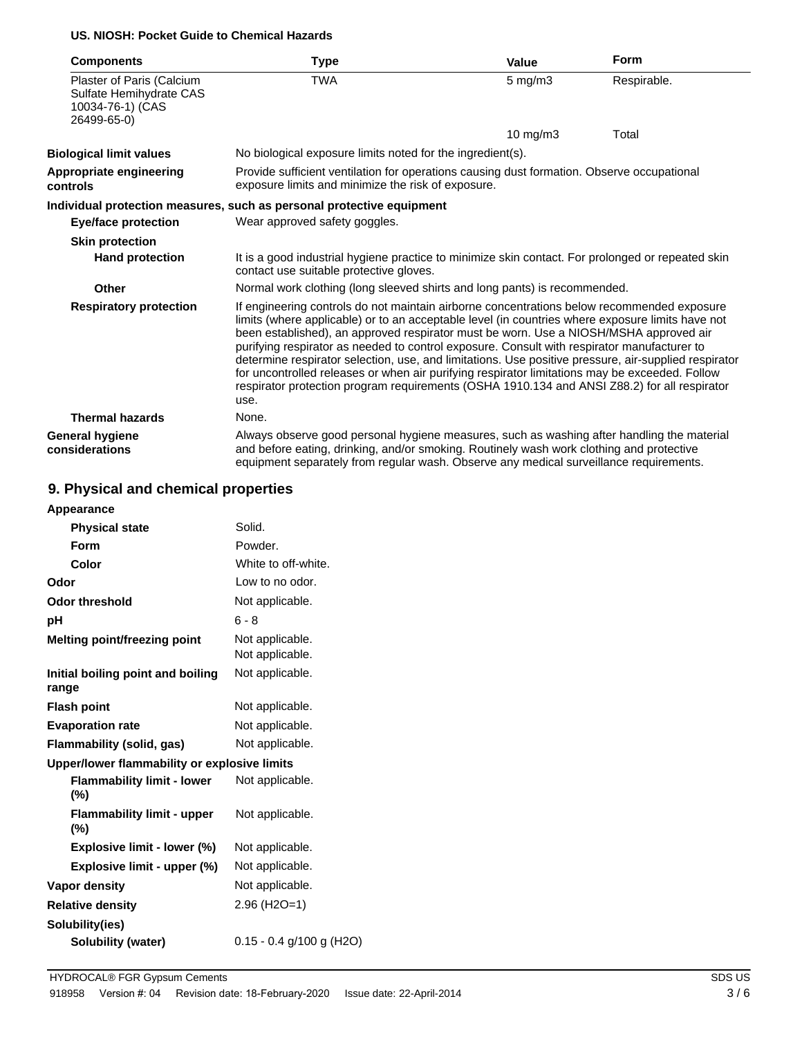### **US. NIOSH: Pocket Guide to Chemical Hazards**

| <b>Components</b>                                                                       | <b>Type</b>                                                                                                                                                                                                                                                                                                                                                                                                                                                                                                                                                                                                                                                                                              | Value        | <b>Form</b> |  |
|-----------------------------------------------------------------------------------------|----------------------------------------------------------------------------------------------------------------------------------------------------------------------------------------------------------------------------------------------------------------------------------------------------------------------------------------------------------------------------------------------------------------------------------------------------------------------------------------------------------------------------------------------------------------------------------------------------------------------------------------------------------------------------------------------------------|--------------|-------------|--|
| Plaster of Paris (Calcium<br>Sulfate Hemihydrate CAS<br>10034-76-1) (CAS<br>26499-65-0) | <b>TWA</b>                                                                                                                                                                                                                                                                                                                                                                                                                                                                                                                                                                                                                                                                                               | $5$ mg/m $3$ | Respirable. |  |
|                                                                                         |                                                                                                                                                                                                                                                                                                                                                                                                                                                                                                                                                                                                                                                                                                          | 10 mg/m $3$  | Total       |  |
| <b>Biological limit values</b>                                                          | No biological exposure limits noted for the ingredient(s).                                                                                                                                                                                                                                                                                                                                                                                                                                                                                                                                                                                                                                               |              |             |  |
| Appropriate engineering<br>controls                                                     | Provide sufficient ventilation for operations causing dust formation. Observe occupational<br>exposure limits and minimize the risk of exposure.                                                                                                                                                                                                                                                                                                                                                                                                                                                                                                                                                         |              |             |  |
|                                                                                         | Individual protection measures, such as personal protective equipment                                                                                                                                                                                                                                                                                                                                                                                                                                                                                                                                                                                                                                    |              |             |  |
| <b>Eye/face protection</b>                                                              | Wear approved safety goggles.                                                                                                                                                                                                                                                                                                                                                                                                                                                                                                                                                                                                                                                                            |              |             |  |
| <b>Skin protection</b>                                                                  |                                                                                                                                                                                                                                                                                                                                                                                                                                                                                                                                                                                                                                                                                                          |              |             |  |
| <b>Hand protection</b>                                                                  | It is a good industrial hygiene practice to minimize skin contact. For prolonged or repeated skin<br>contact use suitable protective gloves.                                                                                                                                                                                                                                                                                                                                                                                                                                                                                                                                                             |              |             |  |
| Other                                                                                   | Normal work clothing (long sleeved shirts and long pants) is recommended.                                                                                                                                                                                                                                                                                                                                                                                                                                                                                                                                                                                                                                |              |             |  |
| <b>Respiratory protection</b>                                                           | If engineering controls do not maintain airborne concentrations below recommended exposure<br>limits (where applicable) or to an acceptable level (in countries where exposure limits have not<br>been established), an approved respirator must be worn. Use a NIOSH/MSHA approved air<br>purifying respirator as needed to control exposure. Consult with respirator manufacturer to<br>determine respirator selection, use, and limitations. Use positive pressure, air-supplied respirator<br>for uncontrolled releases or when air purifying respirator limitations may be exceeded. Follow<br>respirator protection program requirements (OSHA 1910.134 and ANSI Z88.2) for all respirator<br>use. |              |             |  |
| <b>Thermal hazards</b>                                                                  | None.                                                                                                                                                                                                                                                                                                                                                                                                                                                                                                                                                                                                                                                                                                    |              |             |  |
| <b>General hygiene</b><br>considerations                                                | Always observe good personal hygiene measures, such as washing after handling the material<br>and before eating, drinking, and/or smoking. Routinely wash work clothing and protective<br>equipment separately from regular wash. Observe any medical surveillance requirements.                                                                                                                                                                                                                                                                                                                                                                                                                         |              |             |  |

## **9. Physical and chemical properties**

| Appearance                                   |                                    |
|----------------------------------------------|------------------------------------|
| <b>Physical state</b>                        | Solid.                             |
| Form                                         | Powder.                            |
| Color                                        | White to off-white.                |
| Odor                                         | Low to no odor.                    |
| <b>Odor threshold</b>                        | Not applicable.                    |
| рH                                           | $6 - 8$                            |
| <b>Melting point/freezing point</b>          | Not applicable.<br>Not applicable. |
| Initial boiling point and boiling<br>range   | Not applicable.                    |
| <b>Flash point</b>                           | Not applicable.                    |
| <b>Evaporation rate</b>                      | Not applicable.                    |
| <b>Flammability (solid, gas)</b>             | Not applicable.                    |
| Upper/lower flammability or explosive limits |                                    |
| <b>Flammability limit - lower</b><br>$(\% )$ | Not applicable.                    |
| <b>Flammability limit - upper</b><br>(%)     | Not applicable.                    |
| Explosive limit - lower (%)                  | Not applicable.                    |
| Explosive limit - upper (%)                  | Not applicable.                    |
| <b>Vapor density</b>                         | Not applicable.                    |
| <b>Relative density</b>                      | $2.96$ (H <sub>2</sub> O=1)        |
| Solubility(ies)                              |                                    |
| <b>Solubility (water)</b>                    | 0.15 - 0.4 g/100 g (H2O)           |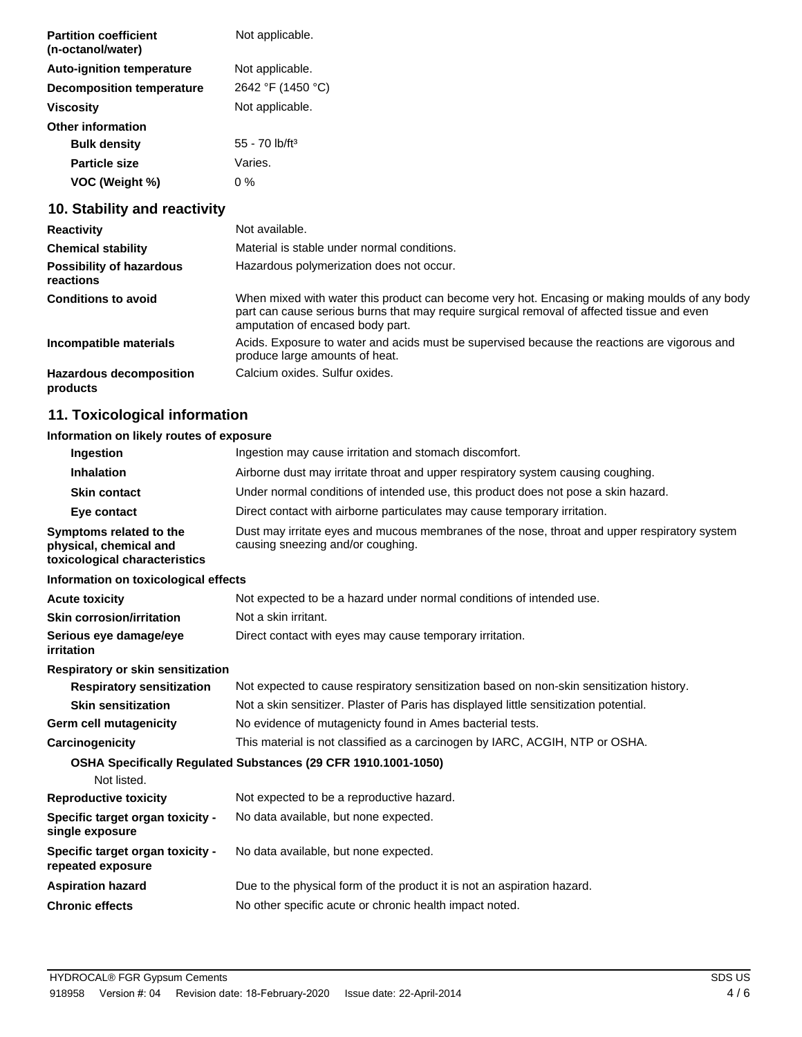| <b>Partition coefficient</b><br>(n-octanol/water) | Not applicable.              |
|---------------------------------------------------|------------------------------|
| <b>Auto-ignition temperature</b>                  | Not applicable.              |
| <b>Decomposition temperature</b>                  | 2642 °F (1450 °C)            |
| Viscosity                                         | Not applicable.              |
| <b>Other information</b>                          |                              |
| <b>Bulk density</b>                               | $55 - 70$ lb/ft <sup>3</sup> |
| <b>Particle size</b>                              | Varies.                      |
| VOC (Weight %)                                    | 0 %                          |

## **10. Stability and reactivity**

| <b>Reactivity</b>                            | Not available.                                                                                                                                                                                                                  |
|----------------------------------------------|---------------------------------------------------------------------------------------------------------------------------------------------------------------------------------------------------------------------------------|
| <b>Chemical stability</b>                    | Material is stable under normal conditions.                                                                                                                                                                                     |
| <b>Possibility of hazardous</b><br>reactions | Hazardous polymerization does not occur.                                                                                                                                                                                        |
| <b>Conditions to avoid</b>                   | When mixed with water this product can become very hot. Encasing or making moulds of any body<br>part can cause serious burns that may require surgical removal of affected tissue and even<br>amputation of encased body part. |
| Incompatible materials                       | Acids. Exposure to water and acids must be supervised because the reactions are vigorous and<br>produce large amounts of heat.                                                                                                  |
| <b>Hazardous decomposition</b><br>products   | Calcium oxides. Sulfur oxides.                                                                                                                                                                                                  |

## **11. Toxicological information**

## **Information on likely routes of exposure**

| Ingestion                                                                          | Ingestion may cause irritation and stomach discomfort.                                                                            |  |  |
|------------------------------------------------------------------------------------|-----------------------------------------------------------------------------------------------------------------------------------|--|--|
| <b>Inhalation</b>                                                                  | Airborne dust may irritate throat and upper respiratory system causing coughing.                                                  |  |  |
| <b>Skin contact</b>                                                                | Under normal conditions of intended use, this product does not pose a skin hazard.                                                |  |  |
| Eye contact                                                                        | Direct contact with airborne particulates may cause temporary irritation.                                                         |  |  |
| Symptoms related to the<br>physical, chemical and<br>toxicological characteristics | Dust may irritate eyes and mucous membranes of the nose, throat and upper respiratory system<br>causing sneezing and/or coughing. |  |  |
| Information on toxicological effects                                               |                                                                                                                                   |  |  |
| <b>Acute toxicity</b>                                                              | Not expected to be a hazard under normal conditions of intended use.                                                              |  |  |
| <b>Skin corrosion/irritation</b>                                                   | Not a skin irritant.                                                                                                              |  |  |
| Serious eye damage/eye<br>irritation                                               | Direct contact with eyes may cause temporary irritation.                                                                          |  |  |
| Respiratory or skin sensitization                                                  |                                                                                                                                   |  |  |
| <b>Respiratory sensitization</b>                                                   | Not expected to cause respiratory sensitization based on non-skin sensitization history.                                          |  |  |
| <b>Skin sensitization</b>                                                          | Not a skin sensitizer. Plaster of Paris has displayed little sensitization potential.                                             |  |  |
| <b>Germ cell mutagenicity</b>                                                      | No evidence of mutagenicty found in Ames bacterial tests.                                                                         |  |  |
| Carcinogenicity                                                                    | This material is not classified as a carcinogen by IARC, ACGIH, NTP or OSHA.                                                      |  |  |
| Not listed.                                                                        | OSHA Specifically Regulated Substances (29 CFR 1910.1001-1050)                                                                    |  |  |
| <b>Reproductive toxicity</b>                                                       | Not expected to be a reproductive hazard.                                                                                         |  |  |
| Specific target organ toxicity -<br>single exposure                                | No data available, but none expected.                                                                                             |  |  |
| Specific target organ toxicity -<br>repeated exposure                              | No data available, but none expected.                                                                                             |  |  |
| <b>Aspiration hazard</b>                                                           | Due to the physical form of the product it is not an aspiration hazard.                                                           |  |  |
| <b>Chronic effects</b>                                                             | No other specific acute or chronic health impact noted.                                                                           |  |  |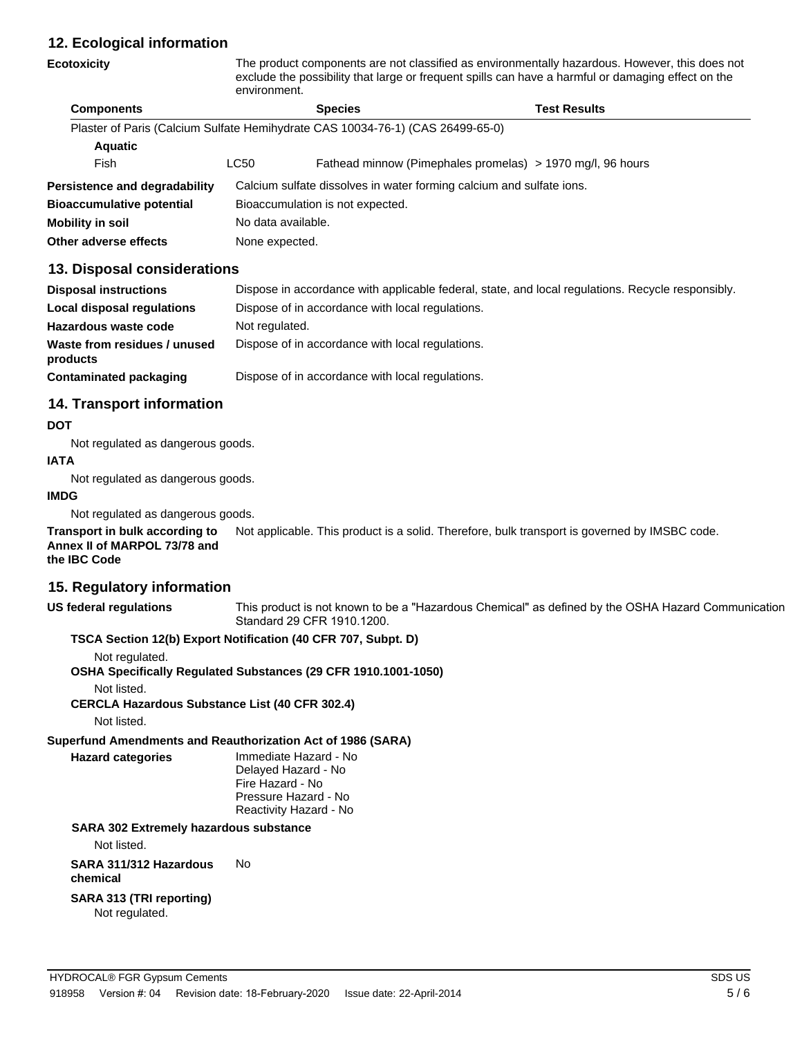## **12. Ecological information**

| <b>Ecotoxicity</b>                                                             | The product components are not classified as environmentally hazardous. However, this does not<br>exclude the possibility that large or frequent spills can have a harmful or damaging effect on the<br>environment. |  |                                                            |  |
|--------------------------------------------------------------------------------|----------------------------------------------------------------------------------------------------------------------------------------------------------------------------------------------------------------------|--|------------------------------------------------------------|--|
| <b>Components</b>                                                              | Test Results<br><b>Species</b>                                                                                                                                                                                       |  |                                                            |  |
| Plaster of Paris (Calcium Sulfate Hemihydrate CAS 10034-76-1) (CAS 26499-65-0) |                                                                                                                                                                                                                      |  |                                                            |  |
| <b>Aquatic</b>                                                                 |                                                                                                                                                                                                                      |  |                                                            |  |
| Fish                                                                           | LC50                                                                                                                                                                                                                 |  | Fathead minnow (Pimephales promelas) > 1970 mg/l, 96 hours |  |
| Persistence and degradability                                                  | Calcium sulfate dissolves in water forming calcium and sulfate ions.                                                                                                                                                 |  |                                                            |  |
| <b>Bioaccumulative potential</b>                                               | Bioaccumulation is not expected.                                                                                                                                                                                     |  |                                                            |  |
| <b>Mobility in soil</b>                                                        | No data available.                                                                                                                                                                                                   |  |                                                            |  |
| Other adverse effects                                                          | None expected.                                                                                                                                                                                                       |  |                                                            |  |

## **13. Disposal considerations**

| <b>Disposal instructions</b>             | Dispose in accordance with applicable federal, state, and local regulations. Recycle responsibly. |
|------------------------------------------|---------------------------------------------------------------------------------------------------|
| <b>Local disposal regulations</b>        | Dispose of in accordance with local regulations.                                                  |
| Hazardous waste code                     | Not regulated.                                                                                    |
| Waste from residues / unused<br>products | Dispose of in accordance with local regulations.                                                  |
| Contaminated packaging                   | Dispose of in accordance with local regulations.                                                  |

## **14. Transport information**

#### **DOT**

Not regulated as dangerous goods.

### **IATA**

Not regulated as dangerous goods.

#### **IMDG**

Not regulated as dangerous goods.

**Transport in bulk according to** Not applicable. This product is a solid. Therefore, bulk transport is governed by IMSBC code. **Annex II of MARPOL 73/78 and the IBC Code**

## **15. Regulatory information**

**US federal regulations** This product is not known to be a "Hazardous Chemical" as defined by the OSHA Hazard Communication Standard 29 CFR 1910.1200.

### **TSCA Section 12(b) Export Notification (40 CFR 707, Subpt. D)**

Not regulated.

**OSHA Specifically Regulated Substances (29 CFR 1910.1001-1050)**

Not listed.

**CERCLA Hazardous Substance List (40 CFR 302.4)**

Not listed.

**Superfund Amendments and Reauthorization Act of 1986 (SARA)**

**Hazard categories** Immediate Hazard - No

Delayed Hazard - No Fire Hazard - No Pressure Hazard - No Reactivity Hazard - No

## **SARA 302 Extremely hazardous substance**

Not listed.

#### **SARA 311/312 Hazardous** No

**chemical**

## **SARA 313 (TRI reporting)**

Not regulated.